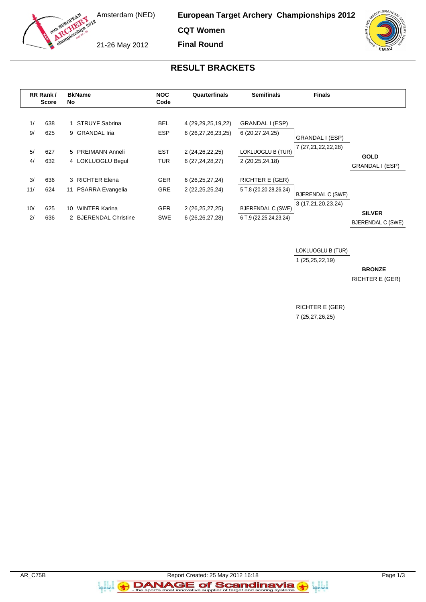

**European Target Archery Championships 2012**

**CQT Women Final Round**

21-26 May 2012



## **RESULT BRACKETS**

|          | RR Rank /<br><b>Score</b> | <b>BkName</b><br>No.                    | <b>NOC</b><br>Code       | Quarterfinals                                | <b>Semifinals</b>                  | <b>Finals</b>            |                                |
|----------|---------------------------|-----------------------------------------|--------------------------|----------------------------------------------|------------------------------------|--------------------------|--------------------------------|
| 1/<br>9/ | 638<br>625                | <b>STRUYF Sabrina</b><br>9 GRANDAL Iria | <b>BEL</b><br><b>ESP</b> | 4 (29, 29, 25, 19, 22)<br>6 (26,27,26,23,25) | GRANDAL I (ESP)<br>6 (20,27,24,25) | GRANDAL I (ESP)          |                                |
| 5/       | 627                       | 5 PREIMANN Anneli                       | <b>EST</b>               | 2 (24,26,22,25)                              | LOKLUOGLU B (TUR)                  | 7 (27,21,22,22,28)       |                                |
| 4/       | 632                       | 4 LOKLUOGLU Begul                       | <b>TUR</b>               | 6(27, 24, 28, 27)                            | 2 (20,25,24,18)                    |                          | <b>GOLD</b><br>GRANDAL I (ESP) |
| 3/       | 636                       | 3 RICHTER Elena                         | <b>GER</b>               | 6(26, 25, 27, 24)                            | <b>RICHTER E (GER)</b>             |                          |                                |
| 11/      | 624                       | <b>PSARRA Evangelia</b><br>11           | <b>GRE</b>               | 2 (22, 25, 25, 24)                           | 5 T.8 (20,20,28,26,24)             | <b>BJERENDAL C (SWE)</b> |                                |
| 10/      | 625                       | <b>WINTER Karina</b><br>10.             | <b>GER</b>               | 2 (26,25,27,25)                              | <b>BJERENDAL C (SWE)</b>           | 3 (17,21,20,23,24)       | <b>SILVER</b>                  |
| 2/       | 636                       | 2 BJERENDAL Christine                   | <b>SWE</b>               | 6 (26, 26, 27, 28)                           | 6 T.9 (22, 25, 24, 23, 24)         |                          | <b>BJERENDAL C (SWE)</b>       |



a<br>i@nseo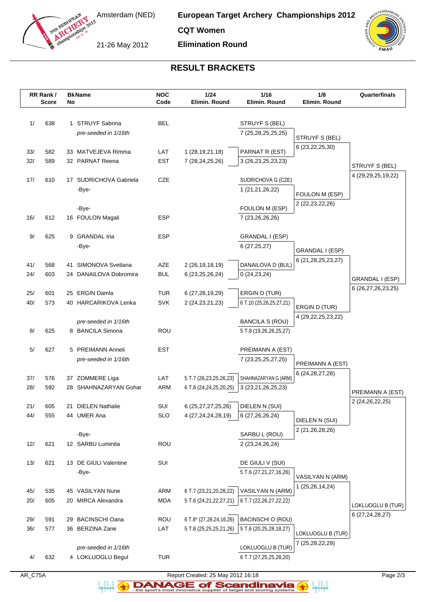

**European Target Archery Championships 2012**

**CQT Women**

21-26 May 2012

**Elimination Round**



## **RESULT BRACKETS**

|            | RR Rank /<br><b>Score</b> | No | <b>BkName</b>                                  | <b>NOC</b><br>Code       | 1/24<br>Elimin. Round                                | 1/16<br>Elimin, Round                            | 1/8<br>Elimin. Round   | Quarterfinals      |
|------------|---------------------------|----|------------------------------------------------|--------------------------|------------------------------------------------------|--------------------------------------------------|------------------------|--------------------|
| 1/         | 638                       |    | 1 STRUYF Sabrina<br>pre-seeded in 1/16th       | <b>BEL</b>               |                                                      | STRUYF S (BEL)<br>7 (25,28,25,25,25)             | STRUYF S (BEL)         |                    |
| 33/<br>32/ | 582<br>589                |    | 33 MATVEJEVA Rimma<br>32 PARNAT Reena          | LAT<br><b>EST</b>        | 1 (28, 19, 21, 18)<br>7 (28, 24, 25, 26)             | PARNAT R (EST)<br>3 (26, 23, 25, 23, 23)         | 6 (23, 22, 25, 30)     | STRUYF S (BEL)     |
| 17/        | 610                       |    | 17 SUDRICHOVA Gabriela<br>-Bye-                | <b>CZE</b>               |                                                      | SUDRICHOVA G (CZE)<br>1 (21,21,26,22)            | FOULON M (ESP)         | 4 (29,29,25,19,22) |
| 16/        | 612                       |    | -Bye-<br>16 FOULON Magali                      | ESP                      |                                                      | FOULON M (ESP)<br>7 (23,26,26,26)                | 2 (22, 23, 22, 26)     |                    |
| 9/         | 625                       |    | 9 GRANDAL Iria<br>-Bye-                        | <b>ESP</b>               |                                                      | GRANDAL I (ESP)<br>6(27, 25, 27)                 | GRANDAL I (ESP)        |                    |
| 41/<br>24/ | 568<br>603                |    | 41 SIMONOVA Svetlana<br>24 DANAILOVA Dobromira | AZE<br><b>BUL</b>        | 2 (26, 19, 18, 19)<br>6 (23, 25, 26, 24)             | DANAILOVA D (BUL)<br>0(24, 23, 24)               | 6 (21,28,25,23,27)     | GRANDAL I (ESP)    |
| 25/<br>40/ | 601<br>573                | 25 | ERGIN Damla<br>40 HARCARIKOVA Lenka            | <b>TUR</b><br><b>SVK</b> | 6 (27,28,19,29)<br>2 (24, 23, 21, 23)                | ERGIN D (TUR)<br>6 T.10 (25,26,25,27,21)         | ERGIN D (TUR)          | 6 (26,27,26,23,25) |
| 8/         | 625                       |    | pre-seeded in 1/16th<br>8 BANCILA Simona       | <b>ROU</b>               |                                                      | <b>BANCILA S (ROU)</b><br>5 T.8 (19,26,26,25,27) | 4 (29, 22, 25, 23, 22) |                    |
| 5/         | 627                       |    | 5 PREIMANN Anneli<br>pre-seeded in 1/16th      | <b>EST</b>               |                                                      | PREIMANN A (EST)<br>7 (23, 25, 25, 27, 25)       | PREIMANN A (EST)       |                    |
| 37/<br>28/ | 576<br>592                |    | 37 ZOMMERE Liga<br>28 SHAHNAZARYAN Gohar       | LAT<br>ARM               | 5 T.7 (26,23,25,26,23)<br>6 T.8 (24,24,25,20,25)     | SHAHNAZARYAN G (ARM)<br>3 (23,21,26,25,23)       | 6 (24, 28, 27, 28)     | PREIMANN A (EST)   |
| 21/<br>44/ | 605<br>555                | 21 | <b>DIELEN Nathalie</b><br>44 UMER Ana          | SUI<br><b>SLO</b>        | 6 (25,27,27,25,26)<br>4 (27, 24, 24, 28, 19)         | DIELEN N (SUI)<br>6 (27, 26, 26, 24)             | DIELEN N (SUI)         | 2 (24, 26, 22, 25) |
| 12/        | 621                       |    | -Bye-<br>12 SARBU Luminita                     | <b>ROU</b>               |                                                      | SARBU L (ROU)<br>2 (23,24,26,24)                 | 2 (21,26,28,26)        |                    |
| 13/        | 621                       |    | 13 DE GIULI Valentine<br>-Bye-                 | SUI                      |                                                      | DE GIULI V (SUI)<br>5 T.6 (27,21,27,16,26)       | VASILYAN N (ARM)       |                    |
| 45/<br>20/ | 535<br>605                |    | 45 VASILYAN Nune<br>20 MIRCA Alexandra         | ARM<br><b>MDA</b>        | 6 T.7 (23,21,20,28,22)<br>5 T.6 (24, 21, 22, 27, 21) | VASILYAN N (ARM)<br>6 T.7 (22, 26, 27, 22, 22)   | 1 (25,26,14,24)        | LOKLUOGLU B (TUR)  |
| 29/<br>36/ | 591<br>577                |    | 29 BACINSCHI Oana<br>36 BERZINA Zane           | ROU<br>LAT               | 6 T.8* (27,28,24,16,26)<br>5 T.8 (25,25,25,21,26)    | BACINSCHI O (ROU)<br>5 T.6 (20,25,28,18,27)      | LOKLUOGLU B (TUR)      | 6 (27, 24, 28, 27) |
| 4/         | 632                       |    | pre-seeded in 1/16th<br>4 LOKLUOGLU Begul      | <b>TUR</b>               |                                                      | LOKLUOGLU B (TUR)<br>6 T.7 (27,25,25,28,20)      | 7 (25,28,22,29)        |                    |

AR\_C75A Report Created: 25 May 2012 16:18 Page 2/3

**DANAGE of Scandinavia** a analis<br>i@nseo